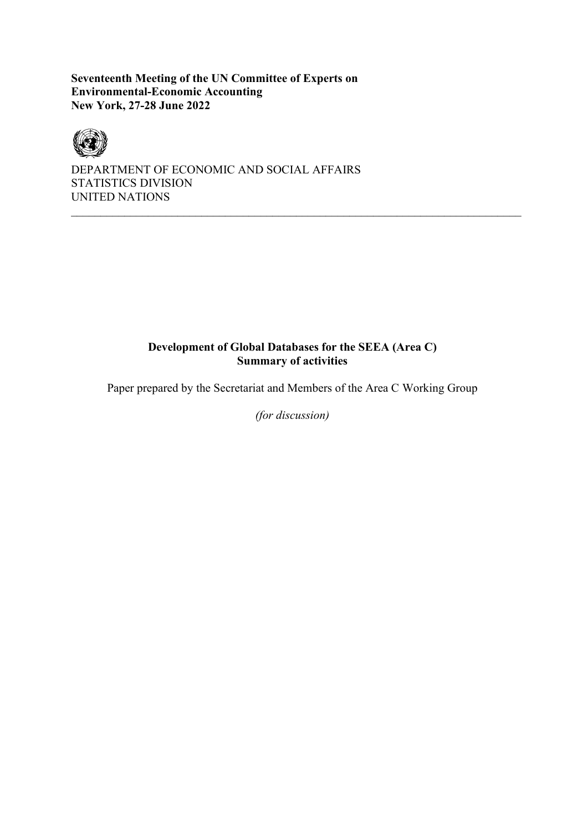**Seventeenth Meeting of the UN Committee of Experts on Environmental-Economic Accounting New York, 27-28 June 2022**



DEPARTMENT OF ECONOMIC AND SOCIAL AFFAIRS STATISTICS DIVISION UNITED NATIONS

# **Development of Global Databases for the SEEA (Area C) Summary of activities**

Paper prepared by the Secretariat and Members of the Area C Working Group

*(for discussion)*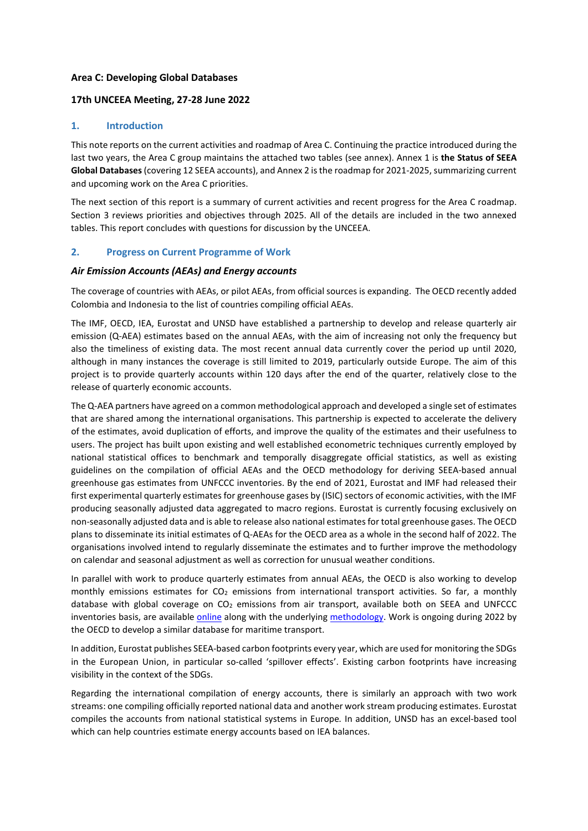### **Area C: Developing Global Databases**

### **17th UNCEEA Meeting, 27-28 June 2022**

### **1. Introduction**

This note reports on the current activities and roadmap of Area C. Continuing the practice introduced during the last two years, the Area C group maintains the attached two tables (see annex). Annex 1 is **the Status of SEEA Global Databases**(covering 12 SEEA accounts), and Annex 2 is the roadmap for 2021-2025, summarizing current and upcoming work on the Area C priorities.

The next section of this report is a summary of current activities and recent progress for the Area C roadmap. Section 3 reviews priorities and objectives through 2025. All of the details are included in the two annexed tables. This report concludes with questions for discussion by the UNCEEA.

### **2. Progress on Current Programme of Work**

#### *Air Emission Accounts (AEAs) and Energy accounts*

The coverage of countries with AEAs, or pilot AEAs, from official sources is expanding. The OECD recently added Colombia and Indonesia to the list of countries compiling official AEAs.

The IMF, OECD, IEA, Eurostat and UNSD have established a partnership to develop and release quarterly air emission (Q-AEA) estimates based on the annual AEAs, with the aim of increasing not only the frequency but also the timeliness of existing data. The most recent annual data currently cover the period up until 2020, although in many instances the coverage is still limited to 2019, particularly outside Europe. The aim of this project is to provide quarterly accounts within 120 days after the end of the quarter, relatively close to the release of quarterly economic accounts.

The Q-AEA partners have agreed on a common methodological approach and developed a single set of estimates that are shared among the international organisations. This partnership is expected to accelerate the delivery of the estimates, avoid duplication of efforts, and improve the quality of the estimates and their usefulness to users. The project has built upon existing and well established econometric techniques currently employed by national statistical offices to benchmark and temporally disaggregate official statistics, as well as existing guidelines on the compilation of official AEAs and the OECD methodology for deriving SEEA-based annual greenhouse gas estimates from UNFCCC inventories. By the end of 2021, Eurostat and IMF had released their first experimental quarterly estimates for greenhouse gases by (ISIC) sectors of economic activities, with the IMF producing seasonally adjusted data aggregated to macro regions. Eurostat is currently focusing exclusively on non-seasonally adjusted data and is able to release also national estimates for total greenhouse gases. The OECD plans to disseminate its initial estimates of Q-AEAs for the OECD area as a whole in the second half of 2022. The organisations involved intend to regularly disseminate the estimates and to further improve the methodology on calendar and seasonal adjustment as well as correction for unusual weather conditions.

In parallel with work to produce quarterly estimates from annual AEAs, the OECD is also working to develop monthly emissions estimates for  $CO<sub>2</sub>$  emissions from international transport activities. So far, a monthly database with global coverage on  $CO<sub>2</sub>$  emissions from air transport, available both on SEEA and UNFCCC inventories basis, are available [online](https://stats.oecd.org/Index.aspx?DataSetCode=AIRTRANS_CO2) along with the underlying [methodology.](https://www.oecd-ilibrary.org/economics/co2-emissions-from-air-transport_ecc9f16b-en) Work is ongoing during 2022 by the OECD to develop a similar database for maritime transport.

In addition, Eurostat publishes SEEA-based carbon footprints every year, which are used for monitoring the SDGs in the European Union, in particular so-called 'spillover effects'. Existing carbon footprints have increasing visibility in the context of the SDGs.

Regarding the international compilation of energy accounts, there is similarly an approach with two work streams: one compiling officially reported national data and another work stream producing estimates. Eurostat compiles the accounts from national statistical systems in Europe*.* In addition, UNSD has an excel-based tool which can help countries estimate energy accounts based on IEA balances.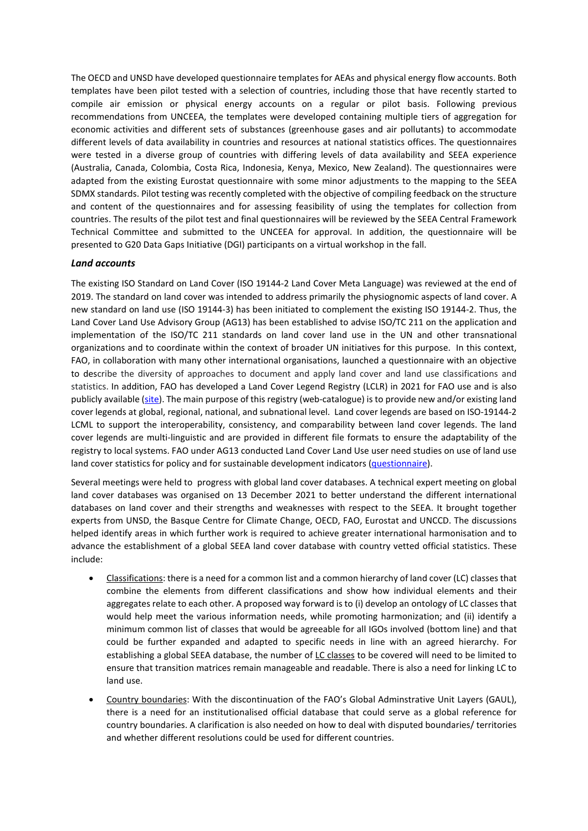The OECD and UNSD have developed questionnaire templates for AEAs and physical energy flow accounts. Both templates have been pilot tested with a selection of countries, including those that have recently started to compile air emission or physical energy accounts on a regular or pilot basis. Following previous recommendations from UNCEEA, the templates were developed containing multiple tiers of aggregation for economic activities and different sets of substances (greenhouse gases and air pollutants) to accommodate different levels of data availability in countries and resources at national statistics offices. The questionnaires were tested in a diverse group of countries with differing levels of data availability and SEEA experience (Australia, Canada, Colombia, Costa Rica, Indonesia, Kenya, Mexico, New Zealand). The questionnaires were adapted from the existing Eurostat questionnaire with some minor adjustments to the mapping to the SEEA SDMX standards. Pilot testing was recently completed with the objective of compiling feedback on the structure and content of the questionnaires and for assessing feasibility of using the templates for collection from countries. The results of the pilot test and final questionnaires will be reviewed by the SEEA Central Framework Technical Committee and submitted to the UNCEEA for approval. In addition, the questionnaire will be presented to G20 Data Gaps Initiative (DGI) participants on a virtual workshop in the fall.

#### *Land accounts*

The existing ISO Standard on Land Cover (ISO 19144-2 Land Cover Meta Language) was reviewed at the end of 2019. The standard on land cover was intended to address primarily the physiognomic aspects of land cover. A new standard on land use (ISO 19144-3) has been initiated to complement the existing ISO 19144-2. Thus, the Land Cover Land Use Advisory Group (AG13) has been established to advise ISO/TC 211 on the application and implementation of the ISO/TC 211 standards on land cover land use in the UN and other transnational organizations and to coordinate within the context of broader UN initiatives for this purpose. In this context, FAO, in collaboration with many other international organisations, launched a questionnaire with an objective to describe the diversity of approaches to document and apply land cover and land use classifications and statistics. In addition, FAO has developed a Land Cover Legend Registry (LCLR) in 2021 for FAO use and is also publicly available [\(site\)](https://www.fao.org/hih-geospatial-platform/en/resources/land-cover-legend-registry/). The main purpose of this registry (web-catalogue) is to provide new and/or existing land cover legends at global, regional, national, and subnational level. Land cover legends are based on ISO-19144-2 LCML to support the interoperability, consistency, and comparability between land cover legends. The land cover legends are multi-linguistic and are provided in different file formats to ensure the adaptability of the registry to local systems. FAO under AG13 conducted Land Cover Land Use user need studies on use of land use land cover statistics for policy and for sustainable development indicators [\(questionnaire\)](https://docs.google.com/forms/d/e/1FAIpQLSf94DiQ_Qwr3IArvik3YOEK3N2Gj4bIS16vxKrj-jPyqLVDvQ/viewform).

Several meetings were held to progress with global land cover databases. A technical expert meeting on global land cover databases was organised on 13 December 2021 to better understand the different international databases on land cover and their strengths and weaknesses with respect to the SEEA. It brought together experts from UNSD, the Basque Centre for Climate Change, OECD, FAO, Eurostat and UNCCD. The discussions helped identify areas in which further work is required to achieve greater international harmonisation and to advance the establishment of a global SEEA land cover database with country vetted official statistics. These include:

- Classifications: there is a need for a common list and a common hierarchy of land cover (LC) classes that combine the elements from different classifications and show how individual elements and their aggregates relate to each other. A proposed way forward is to (i) develop an ontology of LC classes that would help meet the various information needs, while promoting harmonization; and (ii) identify a minimum common list of classes that would be agreeable for all IGOs involved (bottom line) and that could be further expanded and adapted to specific needs in line with an agreed hierarchy. For establishing a global SEEA database, the number of LC classes to be covered will need to be limited to ensure that transition matrices remain manageable and readable. There is also a need for linking LC to land use.
- Country boundaries: With the discontinuation of the FAO's Global Adminstrative Unit Layers (GAUL), there is a need for an institutionalised official database that could serve as a global reference for country boundaries. A clarification is also needed on how to deal with disputed boundaries/ territories and whether different resolutions could be used for different countries.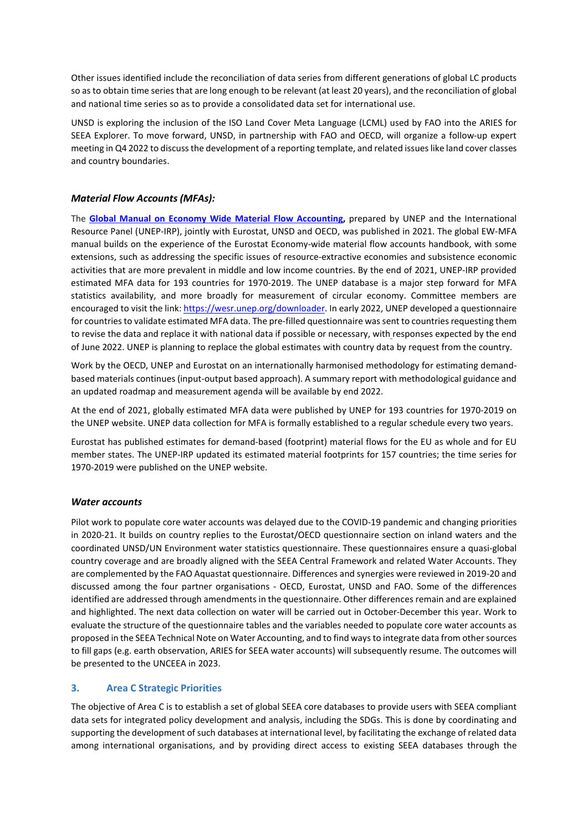Other issues identified include the reconciliation of data series from different generations of global LC products so as to obtain time series that are long enough to be relevant (at least 20 years), and the reconciliation of global and national time series so as to provide a consolidated data set for international use.

UNSD is exploring the inclusion of the ISO Land Cover Meta Language (LCML) used by FAO into the ARIES for SEEA Explorer. To move forward, UNSD, in partnership with FAO and OECD, will organize a follow-up expert meeting in Q4 2022 to discuss the development of a reporting template, and related issues like land cover classes and country boundaries.

### *Material Flow Accounts (MFAs):*

The **[Global Manual on Economy Wide Material Flow Accounting,](https://www.resourcepanel.org/reports/global-manual-economy-wide-material-flow-accounting)** prepared by UNEP and the International Resource Panel (UNEP-IRP), jointly with Eurostat, UNSD and OECD, was published in 2021. The global EW-MFA manual builds on the experience of the Eurostat Economy-wide material flow accounts handbook, with some extensions, such as addressing the specific issues of resource-extractive economies and subsistence economic activities that are more prevalent in middle and low income countries. By the end of 2021, UNEP-IRP provided estimated MFA data for 193 countries for 1970-2019. The UNEP database is a major step forward for MFA statistics availability, and more broadly for measurement of circular economy. Committee members are encouraged to visit the link: [https://wesr.unep.org/downloader.](https://wesr.unep.org/downloader) In early 2022, UNEP developed a questionnaire for countries to validate estimated MFA data. The pre-filled questionnaire was sent to countries requesting them to revise the data and replace it with national data if possible or necessary, with responses expected by the end of June 2022. UNEP is planning to replace the global estimates with country data by request from the country.

Work by the OECD, UNEP and Eurostat on an internationally harmonised methodology for estimating demandbased materials continues (input-output based approach). A summary report with methodological guidance and an updated roadmap and measurement agenda will be available by end 2022.

At the end of 2021, globally estimated MFA data were published by UNEP for 193 countries for 1970-2019 on the UNEP website. UNEP data collection for MFA is formally established to a regular schedule every two years.

Eurostat has published estimates for demand-based (footprint) material flows for the EU as whole and for EU member states. The UNEP-IRP updated its estimated material footprints for 157 countries; the time series for 1970-2019 were published on the UNEP website.

#### *Water accounts*

Pilot work to populate core water accounts was delayed due to the COVID-19 pandemic and changing priorities in 2020-21. It builds on country replies to the Eurostat/OECD questionnaire section on inland waters and the coordinated UNSD/UN Environment water statistics questionnaire. These questionnaires ensure a quasi-global country coverage and are broadly aligned with the SEEA Central Framework and related Water Accounts. They are complemented by the FAO Aquastat questionnaire. Differences and synergies were reviewed in 2019-20 and discussed among the four partner organisations - OECD, Eurostat, UNSD and FAO. Some of the differences identified are addressed through amendments in the questionnaire. Other differences remain and are explained and highlighted. The next data collection on water will be carried out in October-December this year. Work to evaluate the structure of the questionnaire tables and the variables needed to populate core water accounts as proposed in the SEEA Technical Note on Water Accounting, and to find ways to integrate data from other sources to fill gaps (e.g. earth observation, ARIES for SEEA water accounts) will subsequently resume. The outcomes will be presented to the UNCEEA in 2023.

### **3. Area C Strategic Priorities**

The objective of Area C is to establish a set of global SEEA core databases to provide users with SEEA compliant data sets for integrated policy development and analysis, including the SDGs. This is done by coordinating and supporting the development of such databases at international level, by facilitating the exchange of related data among international organisations, and by providing direct access to existing SEEA databases through the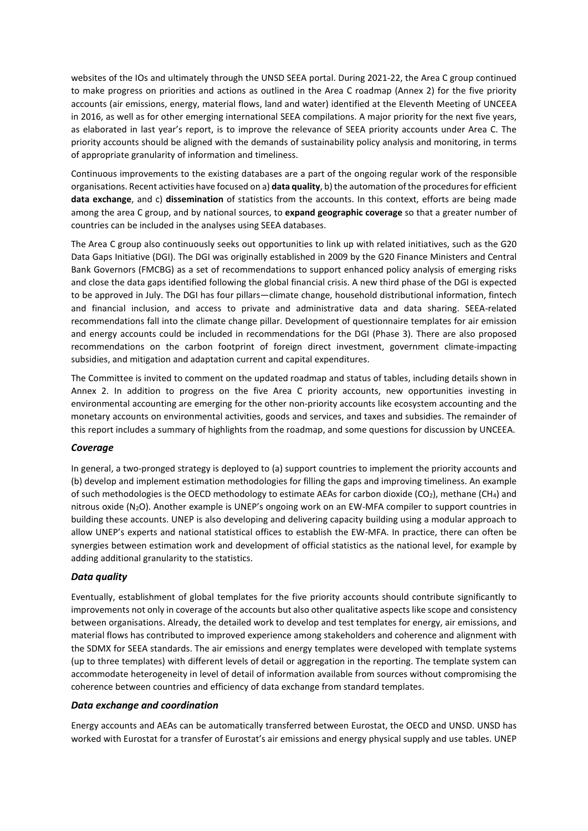websites of the IOs and ultimately through the UNSD SEEA portal. During 2021-22, the Area C group continued to make progress on priorities and actions as outlined in the Area C roadmap (Annex 2) for the five priority accounts (air emissions, energy, material flows, land and water) identified at the Eleventh Meeting of UNCEEA in 2016, as well as for other emerging international SEEA compilations. A major priority for the next five years, as elaborated in last year's report, is to improve the relevance of SEEA priority accounts under Area C. The priority accounts should be aligned with the demands of sustainability policy analysis and monitoring, in terms of appropriate granularity of information and timeliness.

Continuous improvements to the existing databases are a part of the ongoing regular work of the responsible organisations. Recent activities have focused on a) **data quality**, b) the automation of the procedures for efficient **data exchange**, and c) **dissemination** of statistics from the accounts. In this context, efforts are being made among the area C group, and by national sources, to **expand geographic coverage** so that a greater number of countries can be included in the analyses using SEEA databases.

The Area C group also continuously seeks out opportunities to link up with related initiatives, such as the G20 Data Gaps Initiative (DGI). The DGI was originally established in 2009 by the G20 Finance Ministers and Central Bank Governors (FMCBG) as a set of recommendations to support enhanced policy analysis of emerging risks and close the data gaps identified following the global financial crisis. A new third phase of the DGI is expected to be approved in July. The DGI has four pillars—climate change, household distributional information, fintech and financial inclusion, and access to private and administrative data and data sharing. SEEA-related recommendations fall into the climate change pillar. Development of questionnaire templates for air emission and energy accounts could be included in recommendations for the DGI (Phase 3). There are also proposed recommendations on the carbon footprint of foreign direct investment, government climate-impacting subsidies, and mitigation and adaptation current and capital expenditures.

The Committee is invited to comment on the updated roadmap and status of tables, including details shown in Annex 2. In addition to progress on the five Area C priority accounts, new opportunities investing in environmental accounting are emerging for the other non-priority accounts like ecosystem accounting and the monetary accounts on environmental activities, goods and services, and taxes and subsidies. The remainder of this report includes a summary of highlights from the roadmap, and some questions for discussion by UNCEEA.

#### *Coverage*

In general, a two-pronged strategy is deployed to (a) support countries to implement the priority accounts and (b) develop and implement estimation methodologies for filling the gaps and improving timeliness. An example of such methodologies is the OECD methodology to estimate AEAs for carbon dioxide (CO<sub>2</sub>), methane (CH<sub>4</sub>) and nitrous oxide (N2O). Another example is UNEP's ongoing work on an EW-MFA compiler to support countries in building these accounts. UNEP is also developing and delivering capacity building using a modular approach to allow UNEP's experts and national statistical offices to establish the EW-MFA. In practice, there can often be synergies between estimation work and development of official statistics as the national level, for example by adding additional granularity to the statistics.

### *Data quality*

Eventually, establishment of global templates for the five priority accounts should contribute significantly to improvements not only in coverage of the accounts but also other qualitative aspects like scope and consistency between organisations. Already, the detailed work to develop and test templates for energy, air emissions, and material flows has contributed to improved experience among stakeholders and coherence and alignment with the SDMX for SEEA standards. The air emissions and energy templates were developed with template systems (up to three templates) with different levels of detail or aggregation in the reporting. The template system can accommodate heterogeneity in level of detail of information available from sources without compromising the coherence between countries and efficiency of data exchange from standard templates.

#### *Data exchange and coordination*

Energy accounts and AEAs can be automatically transferred between Eurostat, the OECD and UNSD. UNSD has worked with Eurostat for a transfer of Eurostat's air emissions and energy physical supply and use tables. UNEP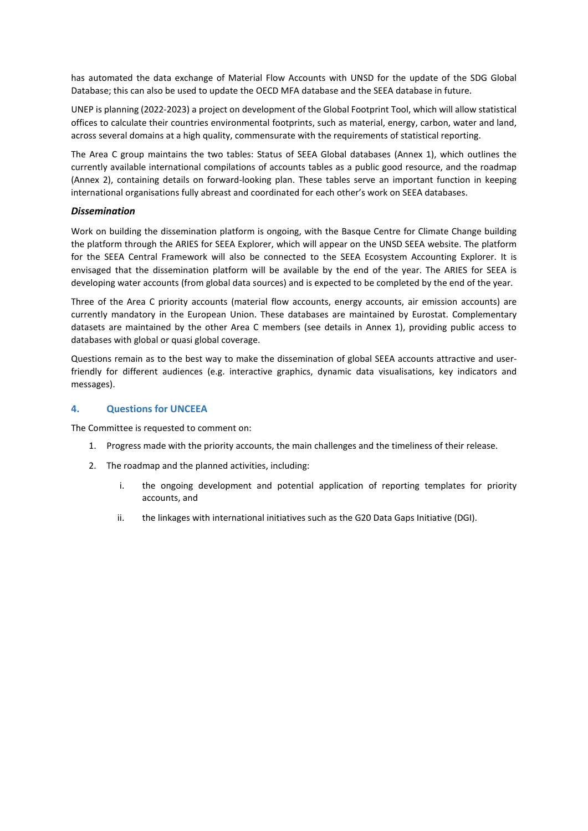has automated the data exchange of Material Flow Accounts with UNSD for the update of the SDG Global Database; this can also be used to update the OECD MFA database and the SEEA database in future.

UNEP is planning (2022-2023) a project on development of the Global Footprint Tool, which will allow statistical offices to calculate their countries environmental footprints, such as material, energy, carbon, water and land, across several domains at a high quality, commensurate with the requirements of statistical reporting.

The Area C group maintains the two tables: Status of SEEA Global databases (Annex 1), which outlines the currently available international compilations of accounts tables as a public good resource, and the roadmap (Annex 2), containing details on forward-looking plan. These tables serve an important function in keeping international organisations fully abreast and coordinated for each other's work on SEEA databases.

### *Dissemination*

Work on building the dissemination platform is ongoing, with the Basque Centre for Climate Change building the platform through the ARIES for SEEA Explorer, which will appear on the UNSD SEEA website. The platform for the SEEA Central Framework will also be connected to the SEEA Ecosystem Accounting Explorer. It is envisaged that the dissemination platform will be available by the end of the year. The ARIES for SEEA is developing water accounts (from global data sources) and is expected to be completed by the end of the year.

Three of the Area C priority accounts (material flow accounts, energy accounts, air emission accounts) are currently mandatory in the European Union. These databases are maintained by Eurostat. Complementary datasets are maintained by the other Area C members (see details in Annex 1), providing public access to databases with global or quasi global coverage.

Questions remain as to the best way to make the dissemination of global SEEA accounts attractive and userfriendly for different audiences (e.g. interactive graphics, dynamic data visualisations, key indicators and messages).

### **4. Questions for UNCEEA**

The Committee is requested to comment on:

- 1. Progress made with the priority accounts, the main challenges and the timeliness of their release.
- 2. The roadmap and the planned activities, including:
	- i. the ongoing development and potential application of reporting templates for priority accounts, and
	- ii. the linkages with international initiatives such as the G20 Data Gaps Initiative (DGI).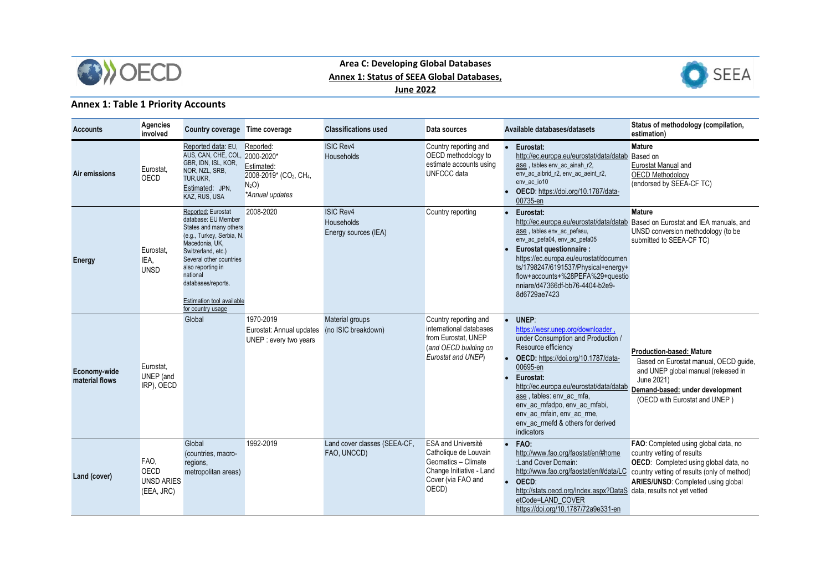

## **Area C: Developing Global Databases Annex 1: Status of SEEA Global Databases, June 2022**



# **Annex 1: Table 1 Priority Accounts**

| <b>Accounts</b>                | Agencies<br>involved                                   | Country coverage Time coverage                                                                                                                                                                                                                                                      |                                                                                                                   | <b>Classifications used</b>                            | Data sources                                                                                                                  |                        | Available databases/datasets                                                                                                                                                                                                                                                                                                                                   | Status of methodology (compilation,<br>estimation)                                                                                                                                                                                      |
|--------------------------------|--------------------------------------------------------|-------------------------------------------------------------------------------------------------------------------------------------------------------------------------------------------------------------------------------------------------------------------------------------|-------------------------------------------------------------------------------------------------------------------|--------------------------------------------------------|-------------------------------------------------------------------------------------------------------------------------------|------------------------|----------------------------------------------------------------------------------------------------------------------------------------------------------------------------------------------------------------------------------------------------------------------------------------------------------------------------------------------------------------|-----------------------------------------------------------------------------------------------------------------------------------------------------------------------------------------------------------------------------------------|
| Air emissions                  | Eurostat,<br>OECD                                      | Reported data: EU,<br>AUS, CAN, CHE, COL, 2000-2020*<br>GBR, IDN, ISL, KOR,<br>NOR, NZL, SRB,<br>TUR, UKR,<br>Estimated: JPN,<br>KAZ, RUS, USA                                                                                                                                      | Reported:<br>Estimated:<br>2008-2019* (CO <sub>2</sub> , CH <sub>4</sub> ,<br>N <sub>2</sub> O<br>*Annual updates | <b>ISIC Rev4</b><br>Households                         | Country reporting and<br>OECD methodology to<br>estimate accounts using<br>UNFCCC data                                        |                        | • Eurostat:<br>http://ec.europa.eu/eurostat/data/datab Based on<br>ase, tables env_ac_ainah_r2,<br>env_ac_aibrid_r2, env_ac_aeint_r2,<br>env_ac_io10<br>OECD: https://doi.org/10.1787/data-<br>00735-en                                                                                                                                                        | <b>Mature</b><br><b>Eurostat Manual and</b><br><b>OECD Methodology</b><br>(endorsed by SEEA-CF TC)                                                                                                                                      |
| <b>Energy</b>                  | Eurostat,<br>IEA.<br><b>UNSD</b>                       | Reported: Eurostat<br>database: EU Member<br>States and many others<br>(e.g., Turkey, Serbia, N.<br>Macedonia, UK,<br>Switzerland, etc.)<br>Several other countries<br>also reporting in<br>national<br>databases/reports.<br><b>Estimation tool available</b><br>for country usage | 2008-2020                                                                                                         | <b>ISIC Rev4</b><br>Households<br>Energy sources (IEA) | Country reporting                                                                                                             |                        | Eurostat:<br>ase, tables env ac pefasu,<br>env_ac_pefa04, env_ac_pefa05<br>Eurostat questionnaire :<br>https://ec.europa.eu/eurostat/documen<br>ts/1798247/6191537/Physical+energy+<br>flow+accounts+%28PEFA%29+questio<br>nniare/d47366df-bb76-4404-b2e9-<br>8d6729ae7423                                                                                     | <b>Mature</b><br>http://ec.europa.eu/eurostat/data/datab Based on Eurostat and IEA manuals, and<br>UNSD conversion methodology (to be<br>submitted to SEEA-CF TC)                                                                       |
| Economy-wide<br>material flows | Eurostat,<br>UNEP (and<br>IRP), OECD                   | Global                                                                                                                                                                                                                                                                              | 1970-2019<br>Eurostat: Annual updates<br>UNEP : every two years                                                   | Material groups<br>(no ISIC breakdown)                 | Country reporting and<br>international databases<br>from Eurostat, UNEP<br>(and OECD building on<br>Eurostat and UNEP)        | $\bullet$              | UNEP:<br>https://wesr.unep.org/downloader.<br>under Consumption and Production /<br>Resource efficiency<br>OECD: https://doi.org/10.1787/data-<br>00695-en<br>Eurostat:<br>http://ec.europa.eu/eurostat/data/datab<br>ase, tables: env ac mfa,<br>env_ac_mfadpo, env_ac_mfabi,<br>env ac mfain, env ac rme.<br>env_ac_rmefd & others for derived<br>indicators | <b>Production-based: Mature</b><br>Based on Eurostat manual, OECD guide,<br>and UNEP global manual (released in<br>June 2021)<br>Demand-based: under development<br>(OECD with Eurostat and UNEP)                                       |
| Land (cover)                   | FAO,<br><b>OECD</b><br><b>UNSD ARIES</b><br>(EEA, JRC) | Global<br>(countries, macro-<br>regions,<br>metropolitan areas)                                                                                                                                                                                                                     | 1992-2019                                                                                                         | Land cover classes (SEEA-CF,<br>FAO, UNCCD)            | ESA and Université<br>Catholique de Louvain<br>Geomatics - Climate<br>Change Initiative - Land<br>Cover (via FAO and<br>OECD) | $\bullet$<br>$\bullet$ | FAO:<br>http://www.fao.org/faostat/en/#home<br>:Land Cover Domain:<br>OECD:<br>http://stats.oecd.org/Index.aspx?DataS_data, results not yet vetted<br>etCode=LAND COVER<br>https://doi.org/10.1787/72a9e331-en                                                                                                                                                 | FAO: Completed using global data, no<br>country vetting of results<br>OECD: Completed using global data, no<br>http://www.fao.org/faostat/en/#data/LC country vetting of results (only of method)<br>ARIES/UNSD: Completed using global |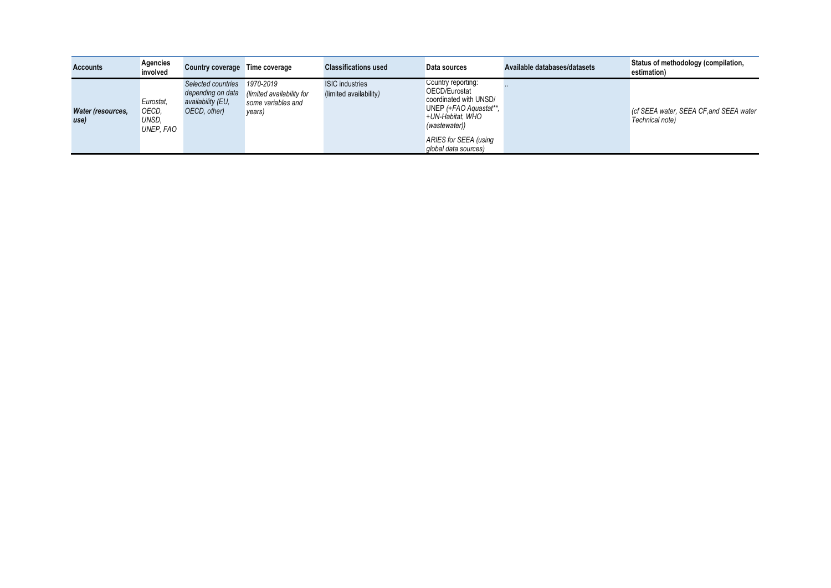| <b>Accounts</b>           | <b>Agencies</b><br>involved              | <b>Country coverage</b>                                                      | Time coverage                                                          | <b>Classifications used</b>                      | Data sources                                                                                                                                                                  | Available databases/datasets | Status of methodology (compilation,<br>estimation)         |
|---------------------------|------------------------------------------|------------------------------------------------------------------------------|------------------------------------------------------------------------|--------------------------------------------------|-------------------------------------------------------------------------------------------------------------------------------------------------------------------------------|------------------------------|------------------------------------------------------------|
| Water (resources,<br>use) | Eurostat.<br>OECD,<br>UNSD.<br>UNEP. FAO | Selected countries<br>depending on data<br>availability (EU,<br>OECD, other) | 1970-2019<br>(limited availability for<br>some variables and<br>years) | <b>ISIC</b> industries<br>(limited availability) | Country reporting:<br>OECD/Eurostat<br>coordinated with UNSD/<br>UNEP (+FAO Aquastat**,<br>+UN-Habitat, WHO<br>(wastewater))<br>ARIES for SEEA (using<br>global data sources) |                              | (cf SEEA water, SEEA CF, and SEEA water<br>Technical note) |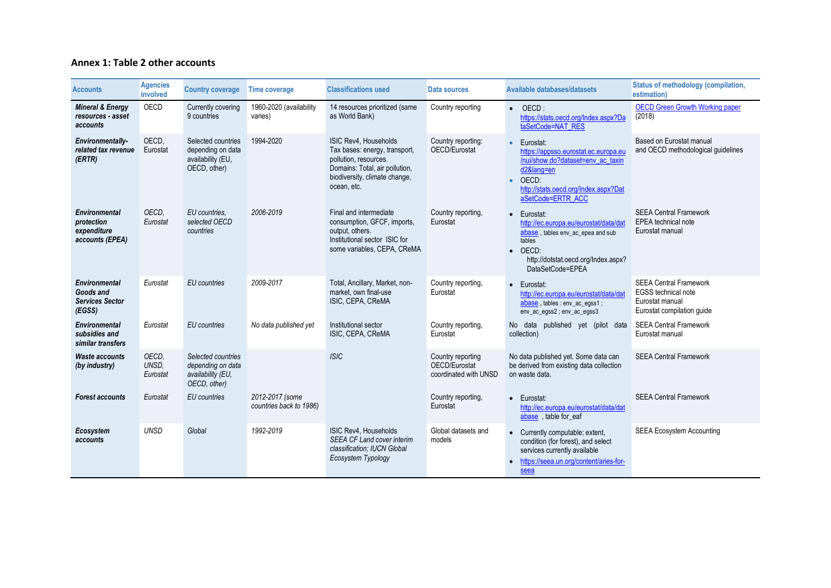### **Annex 1: Table 2 other accounts**

| <b>Accounts</b>                                                       | <b>Agencies</b><br>involved | <b>Country coverage</b>                                                      | <b>Time coverage</b>                       | <b>Classifications used</b>                                                                                                                                       | Data sources                                                | Available databases/datasets                                                                                                                                                                     | Status of methodology (compilation,<br>estimation)                                                           |
|-----------------------------------------------------------------------|-----------------------------|------------------------------------------------------------------------------|--------------------------------------------|-------------------------------------------------------------------------------------------------------------------------------------------------------------------|-------------------------------------------------------------|--------------------------------------------------------------------------------------------------------------------------------------------------------------------------------------------------|--------------------------------------------------------------------------------------------------------------|
| <b>Mineral &amp; Energy</b><br>resources - asset<br>accounts          | OECD                        | Currently covering<br>9 countries                                            | 1960-2020 (availability<br>varies)         | 14 resources prioritized (same<br>as World Bank)                                                                                                                  | Country reporting                                           | $\bullet$ OECD:<br>https://stats.oecd.org/Index.aspx?Da<br>taSetCode=NAT_RES                                                                                                                     | <b>OECD Green Growth Working paper</b><br>(2018)                                                             |
| Environmentally-<br>related tax revenue<br>(ERTR)                     | OECD,<br>Eurostat           | Selected countries<br>depending on data<br>availability (EU,<br>OECD, other) | 1994-2020                                  | ISIC Rev4, Households<br>Tax bases: energy, transport,<br>pollution, resources.<br>Domains: Total, air pollution,<br>biodiversity, climate change,<br>ocean, etc. | Country reporting:<br>OECD/Eurostat                         | Eurostat:<br>$\bullet$<br>https://appsso.eurostat.ec.europa.eu<br>/nui/show.do?dataset=env_ac_taxin<br>d2⟨=en<br>OECD:<br>$\bullet$<br>http://stats.oecd.org/Index.aspx?Dat<br>aSetCode=ERTR ACC | Based on Eurostat manual<br>and OECD methodological guidelines                                               |
| <b>Environmental</b><br>protection<br>expenditure<br>accounts (EPEA)  | OECD.<br>Eurostat           | EU countries.<br>selected OECD<br>countries                                  | 2006-2019                                  | Final and intermediate<br>consumption, GFCF, imports,<br>output, others.<br>Institutional sector ISIC for<br>some variables, CEPA, CReMA                          | Country reporting,<br>Eurostat                              | Eurostat:<br>$\bullet$<br>http://ec.europa.eu/eurostat/data/dat<br>abase, tables env_ac_epea and sub<br>tables<br>OECD:<br>$\bullet$<br>http://dotstat.oecd.org/Index.aspx?<br>DataSetCode=EPEA  | <b>SEEA Central Framework</b><br>EPEA technical note<br>Eurostat manual                                      |
| <b>Environmental</b><br>Goods and<br><b>Services Sector</b><br>(EGSS) | Eurostat                    | <b>EU</b> countries                                                          | 2009-2017                                  | Total, Ancillary, Market, non-<br>market, own final-use<br>ISIC, CEPA, CReMA                                                                                      | Country reporting,<br>Eurostat                              | Eurostat:<br>$\bullet$<br>http://ec.europa.eu/eurostat/data/dat<br>abase, tables : env_ac_egss1;<br>env_ac_egss2; env_ac_egss3                                                                   | <b>SEEA Central Framework</b><br><b>EGSS</b> technical note<br>Eurostat manual<br>Eurostat compilation quide |
| <b>Environmental</b><br>subsidies and<br>similar transfers            | Eurostat                    | <b>EU</b> countries                                                          | No data published yet                      | Institutional sector<br>ISIC, CEPA, CReMA                                                                                                                         | Country reporting,<br>Eurostat                              | No data<br>published yet (pilot data<br>collection)                                                                                                                                              | <b>SEEA Central Framework</b><br>Eurostat manual                                                             |
| <b>Waste accounts</b><br>(by industry)                                | OECD.<br>UNSD.<br>Eurostat  | Selected countries<br>depending on data<br>availability (EU,<br>OECD, other) |                                            | <b>ISIC</b>                                                                                                                                                       | Country reporting<br>OECD/Eurostat<br>coordinated with UNSD | No data published yet. Some data can<br>be derived from existing data collection<br>on waste data.                                                                                               | <b>SEEA Central Framework</b>                                                                                |
| <b>Forest accounts</b>                                                | Eurostat                    | EU countries                                                                 | 2012-2017 (some<br>countries back to 1986) |                                                                                                                                                                   | Country reporting,<br>Eurostat                              | Eurostat:<br>$\bullet$<br>http://ec.europa.eu/eurostat/data/dat<br>abase, table for_eaf                                                                                                          | <b>SEEA Central Framework</b>                                                                                |
| Ecosystem<br>accounts                                                 | <b>UNSD</b>                 | Global                                                                       | 1992-2019                                  | ISIC Rev4. Households<br><b>SEEA CF Land cover interim</b><br>classification; IUCN Global<br>Ecosystem Typology                                                   | Global datasets and<br>models                               | • Currently computable; extent,<br>condition (for forest), and select<br>services currently available<br>https://seea.un.org/content/aries-for-<br>۰<br>seea                                     | <b>SEEA Ecosystem Accounting</b>                                                                             |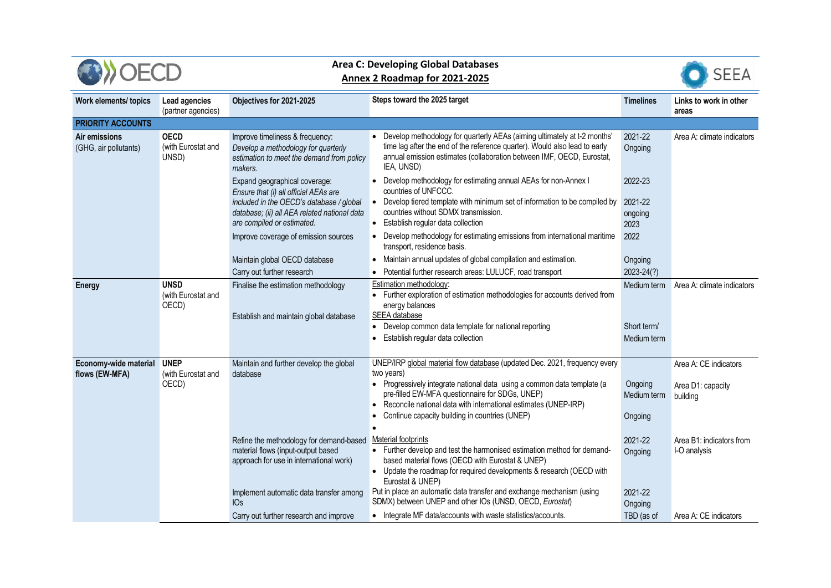|                                              |                                            | <b>Area C: Developing Global Databases</b><br>Annex 2 Roadmap for 2021-2025                                                    | <b>SEEA</b>                                                                                                                                                                                                                                                  |                                           |                                          |
|----------------------------------------------|--------------------------------------------|--------------------------------------------------------------------------------------------------------------------------------|--------------------------------------------------------------------------------------------------------------------------------------------------------------------------------------------------------------------------------------------------------------|-------------------------------------------|------------------------------------------|
| Work elements/ topics                        | Lead agencies<br>(partner agencies)        | Objectives for 2021-2025                                                                                                       | Steps toward the 2025 target                                                                                                                                                                                                                                 | <b>Timelines</b>                          | Links to work in other<br>areas          |
| <b>PRIORITY ACCOUNTS</b>                     |                                            |                                                                                                                                |                                                                                                                                                                                                                                                              |                                           |                                          |
| Air emissions<br>(GHG, air pollutants)       | <b>OECD</b><br>(with Eurostat and<br>UNSD) | Improve timeliness & frequency:<br>Develop a methodology for quarterly<br>estimation to meet the demand from policy<br>makers. | • Develop methodology for quarterly AEAs (aiming ultimately at t-2 months'<br>time lag after the end of the reference quarter). Would also lead to early<br>annual emission estimates (collaboration between IMF, OECD, Eurostat,<br>IEA, UNSD)              | 2021-22<br>Ongoing                        | Area A: climate indicators               |
|                                              |                                            | Expand geographical coverage:<br>Ensure that (i) all official AEAs are                                                         | • Develop methodology for estimating annual AEAs for non-Annex I<br>countries of UNFCCC.                                                                                                                                                                     | 2022-23                                   |                                          |
|                                              |                                            | included in the OECD's database / global<br>database; (ii) all AEA related national data<br>are compiled or estimated.         | • Develop tiered template with minimum set of information to be compiled by<br>countries without SDMX transmission.<br>• Establish regular data collection                                                                                                   | 2021-22<br>ongoing<br>2023                |                                          |
|                                              |                                            | Improve coverage of emission sources                                                                                           | • Develop methodology for estimating emissions from international maritime<br>transport, residence basis.                                                                                                                                                    | 2022                                      |                                          |
|                                              |                                            | Maintain global OECD database                                                                                                  | Maintain annual updates of global compilation and estimation.                                                                                                                                                                                                | Ongoing                                   |                                          |
|                                              |                                            | Carry out further research                                                                                                     | Potential further research areas: LULUCF, road transport                                                                                                                                                                                                     | 2023-24(?)                                |                                          |
| <b>Energy</b>                                | <b>UNSD</b><br>(with Eurostat and<br>OECD) | Finalise the estimation methodology<br>Establish and maintain global database                                                  | Estimation methodology:<br>• Further exploration of estimation methodologies for accounts derived from<br>energy balances<br>SEEA database<br>• Develop common data template for national reporting<br>• Establish regular data collection                   | Medium term<br>Short term/<br>Medium term | Area A: climate indicators               |
| Economy-wide material UNEP<br>flows (EW-MFA) | (with Eurostat and                         | Maintain and further develop the global<br>database                                                                            | UNEP/IRP global material flow database (updated Dec. 2021, frequency every<br>two years)                                                                                                                                                                     |                                           | Area A: CE indicators                    |
|                                              | OECD)                                      |                                                                                                                                | • Progressively integrate national data using a common data template (a<br>pre-filled EW-MFA questionnaire for SDGs, UNEP)<br>Reconcile national data with international estimates (UNEP-IRP)<br>Continue capacity building in countries (UNEP)<br>$\bullet$ | Ongoing<br>Medium term<br>Ongoing         | Area D1: capacity<br>building            |
|                                              |                                            | Refine the methodology for demand-based<br>material flows (input-output based<br>approach for use in international work)       | Material footprints<br>• Further develop and test the harmonised estimation method for demand-<br>based material flows (OECD with Eurostat & UNEP)<br>• Update the roadmap for required developments & research (OECD with<br>Eurostat & UNEP)               | 2021-22<br>Ongoing                        | Area B1: indicators from<br>I-O analysis |
|                                              |                                            | Implement automatic data transfer among<br>IOs                                                                                 | Put in place an automatic data transfer and exchange mechanism (using<br>SDMX) between UNEP and other IOs (UNSD, OECD, Eurostat)                                                                                                                             | 2021-22<br>Ongoing                        |                                          |
|                                              |                                            | Carry out further research and improve                                                                                         | • Integrate MF data/accounts with waste statistics/accounts.                                                                                                                                                                                                 | TBD (as of                                | Area A: CE indicators                    |